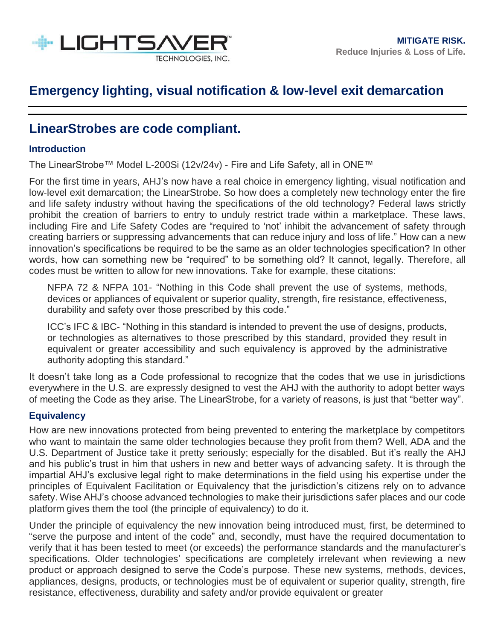

### **LinearStrobes are code compliant.**

### **Introduction**

The LinearStrobe™ Model L-200Si (12v/24v) - Fire and Life Safety, all in ONE™

For the first time in years, AHJ's now have a real choice in emergency lighting, visual notification and low-level exit demarcation; the LinearStrobe. So how does a completely new technology enter the fire and life safety industry without having the specifications of the old technology? Federal laws strictly prohibit the creation of barriers to entry to unduly restrict trade within a marketplace. These laws, including Fire and Life Safety Codes are "required to 'not' inhibit the advancement of safety through creating barriers or suppressing advancements that can reduce injury and loss of life." How can a new innovation's specifications be required to be the same as an older technologies specification? In other words, how can something new be "required" to be something old? It cannot, legally. Therefore, all codes must be written to allow for new innovations. Take for example, these citations:

NFPA 72 & NFPA 101- "Nothing in this Code shall prevent the use of systems, methods, devices or appliances of equivalent or superior quality, strength, fire resistance, effectiveness, durability and safety over those prescribed by this code."

ICC's IFC & IBC- "Nothing in this standard is intended to prevent the use of designs, products, or technologies as alternatives to those prescribed by this standard, provided they result in equivalent or greater accessibility and such equivalency is approved by the administrative authority adopting this standard."

It doesn't take long as a Code professional to recognize that the codes that we use in jurisdictions everywhere in the U.S. are expressly designed to vest the AHJ with the authority to adopt better ways of meeting the Code as they arise. The LinearStrobe, for a variety of reasons, is just that "better way".

#### **Equivalency**

How are new innovations protected from being prevented to entering the marketplace by competitors who want to maintain the same older technologies because they profit from them? Well, ADA and the U.S. Department of Justice take it pretty seriously; especially for the disabled. But it's really the AHJ and his public's trust in him that ushers in new and better ways of advancing safety. It is through the impartial AHJ's exclusive legal right to make determinations in the field using his expertise under the principles of Equivalent Facilitation or Equivalency that the jurisdiction's citizens rely on to advance safety. Wise AHJ's choose advanced technologies to make their jurisdictions safer places and our code platform gives them the tool (the principle of equivalency) to do it.

Under the principle of equivalency the new innovation being introduced must, first, be determined to "serve the purpose and intent of the code" and, secondly, must have the required documentation to verify that it has been tested to meet (or exceeds) the performance standards and the manufacturer's specifications. Older technologies' specifications are completely irrelevant when reviewing a new product or approach designed to serve the Code's purpose. These new systems, methods, devices, appliances, designs, products, or technologies must be of equivalent or superior quality, strength, fire resistance, effectiveness, durability and safety and/or provide equivalent or greater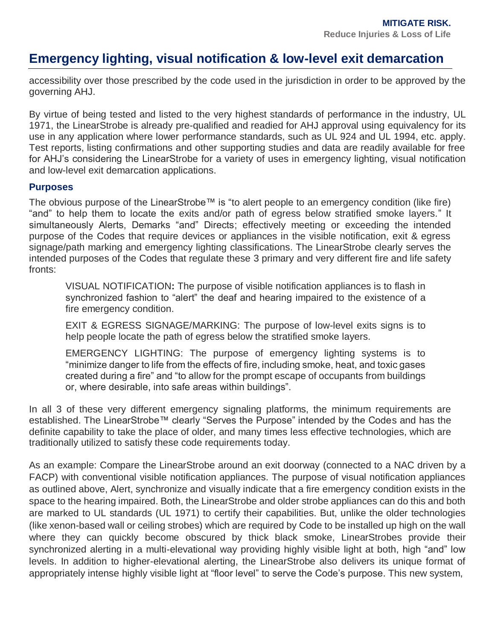accessibility over those prescribed by the code used in the jurisdiction in order to be approved by the governing AHJ.

By virtue of being tested and listed to the very highest standards of performance in the industry, UL 1971, the LinearStrobe is already pre-qualified and readied for AHJ approval using equivalency for its use in any application where lower performance standards, such as UL 924 and UL 1994, etc. apply. Test reports, listing confirmations and other supporting studies and data are readily available for free for AHJ's considering the LinearStrobe for a variety of uses in emergency lighting, visual notification and low-level exit demarcation applications.

#### **Purposes**

The obvious purpose of the LinearStrobe™ is "to alert people to an emergency condition (like fire) "and" to help them to locate the exits and/or path of egress below stratified smoke layers." It simultaneously Alerts, Demarks "and" Directs; effectively meeting or exceeding the intended purpose of the Codes that require devices or appliances in the visible notification, exit & egress signage/path marking and emergency lighting classifications. The LinearStrobe clearly serves the intended purposes of the Codes that regulate these 3 primary and very different fire and life safety fronts:

VISUAL NOTIFICATION**:** The purpose of visible notification appliances is to flash in synchronized fashion to "alert" the deaf and hearing impaired to the existence of a fire emergency condition.

EXIT & EGRESS SIGNAGE/MARKING: The purpose of low-level exits signs is to help people locate the path of egress below the stratified smoke layers.

EMERGENCY LIGHTING: The purpose of emergency lighting systems is to "minimize danger to life from the effects of fire, including smoke, heat, and toxic gases created during a fire" and "to allow for the prompt escape of occupants from buildings or, where desirable, into safe areas within buildings".

In all 3 of these very different emergency signaling platforms, the minimum requirements are established. The LinearStrobe™ clearly "Serves the Purpose" intended by the Codes and has the definite capability to take the place of older, and many times less effective technologies, which are traditionally utilized to satisfy these code requirements today.

As an example: Compare the LinearStrobe around an exit doorway (connected to a NAC driven by a FACP) with conventional visible notification appliances. The purpose of visual notification appliances as outlined above, Alert, synchronize and visually indicate that a fire emergency condition exists in the space to the hearing impaired. Both, the LinearStrobe and older strobe appliances can do this and both are marked to UL standards (UL 1971) to certify their capabilities. But, unlike the older technologies (like xenon-based wall or ceiling strobes) which are required by Code to be installed up high on the wall where they can quickly become obscured by thick black smoke, LinearStrobes provide their synchronized alerting in a multi-elevational way providing highly visible light at both, high "and" low levels. In addition to higher-elevational alerting, the LinearStrobe also delivers its unique format of appropriately intense highly visible light at "floor level" to serve the Code's purpose. This new system,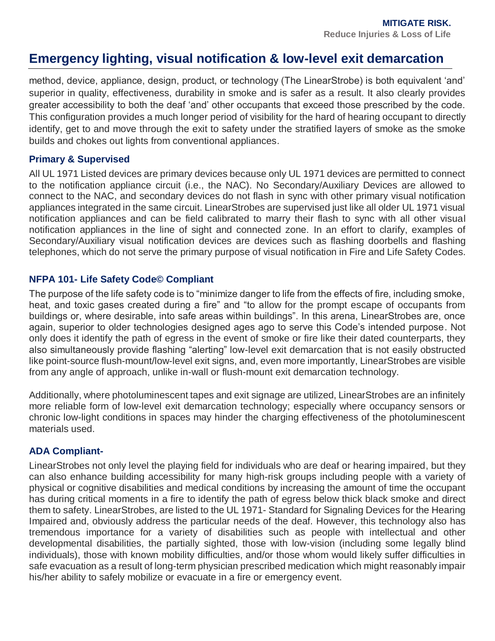method, device, appliance, design, product, or technology (The LinearStrobe) is both equivalent 'and' superior in quality, effectiveness, durability in smoke and is safer as a result. It also clearly provides greater accessibility to both the deaf 'and' other occupants that exceed those prescribed by the code. This configuration provides a much longer period of visibility for the hard of hearing occupant to directly identify, get to and move through the exit to safety under the stratified layers of smoke as the smoke builds and chokes out lights from conventional appliances.

#### **Primary & Supervised**

All UL 1971 Listed devices are primary devices because only UL 1971 devices are permitted to connect to the notification appliance circuit (i.e., the NAC). No Secondary/Auxiliary Devices are allowed to connect to the NAC, and secondary devices do not flash in sync with other primary visual notification appliances integrated in the same circuit. LinearStrobes are supervised just like all older UL 1971 visual notification appliances and can be field calibrated to marry their flash to sync with all other visual notification appliances in the line of sight and connected zone. In an effort to clarify, examples of Secondary/Auxiliary visual notification devices are devices such as flashing doorbells and flashing telephones, which do not serve the primary purpose of visual notification in Fire and Life Safety Codes.

#### **NFPA 101- Life Safety Code© Compliant**

The purpose of the life safety code is to "minimize danger to life from the effects of fire, including smoke, heat, and toxic gases created during a fire" and "to allow for the prompt escape of occupants from buildings or, where desirable, into safe areas within buildings". In this arena, LinearStrobes are, once again, superior to older technologies designed ages ago to serve this Code's intended purpose. Not only does it identify the path of egress in the event of smoke or fire like their dated counterparts, they also simultaneously provide flashing "alerting" low-level exit demarcation that is not easily obstructed like point-source flush-mount/low-level exit signs, and, even more importantly, LinearStrobes are visible from any angle of approach, unlike in-wall or flush-mount exit demarcation technology.

Additionally, where photoluminescent tapes and exit signage are utilized, LinearStrobes are an infinitely more reliable form of low-level exit demarcation technology; especially where occupancy sensors or chronic low-light conditions in spaces may hinder the charging effectiveness of the photoluminescent materials used.

### **ADA Compliant-**

LinearStrobes not only level the playing field for individuals who are deaf or hearing impaired, but they can also enhance building accessibility for many high-risk groups including people with a variety of physical or cognitive disabilities and medical conditions by increasing the amount of time the occupant has during critical moments in a fire to identify the path of egress below thick black smoke and direct them to safety. LinearStrobes, are listed to the UL 1971- Standard for Signaling Devices for the Hearing Impaired and, obviously address the particular needs of the deaf. However, this technology also has tremendous importance for a variety of disabilities such as people with intellectual and other developmental disabilities, the partially sighted, those with low-vision (including some legally blind individuals), those with known mobility difficulties, and/or those whom would likely suffer difficulties in safe evacuation as a result of long-term physician prescribed medication which might reasonably impair his/her ability to safely mobilize or evacuate in a fire or emergency event.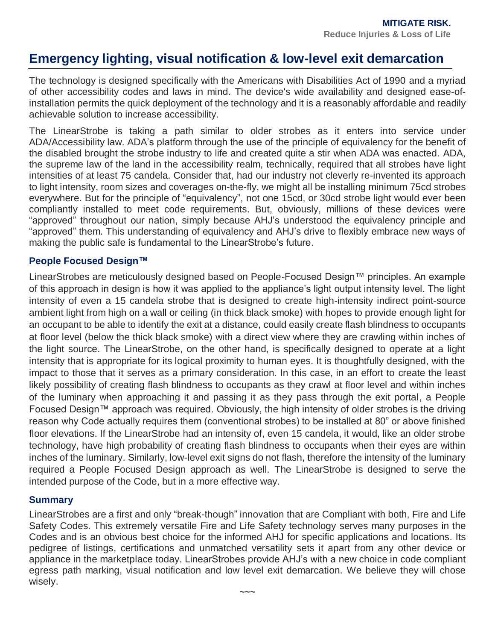The technology is designed specifically with the Americans with Disabilities Act of 1990 and a myriad of other accessibility codes and laws in mind. The device's wide availability and designed ease-ofinstallation permits the quick deployment of the technology and it is a reasonably affordable and readily achievable solution to increase accessibility.

The LinearStrobe is taking a path similar to older strobes as it enters into service under ADA/Accessibility law. ADA's platform through the use of the principle of equivalency for the benefit of the disabled brought the strobe industry to life and created quite a stir when ADA was enacted. ADA, the supreme law of the land in the accessibility realm, technically, required that all strobes have light intensities of at least 75 candela. Consider that, had our industry not cleverly re-invented its approach to light intensity, room sizes and coverages on-the-fly, we might all be installing minimum 75cd strobes everywhere. But for the principle of "equivalency", not one 15cd, or 30cd strobe light would ever been compliantly installed to meet code requirements. But, obviously, millions of these devices were "approved" throughout our nation, simply because AHJ's understood the equivalency principle and "approved" them. This understanding of equivalency and AHJ's drive to flexibly embrace new ways of making the public safe is fundamental to the LinearStrobe's future.

#### **People Focused Design™**

LinearStrobes are meticulously designed based on People-Focused Design™ principles. An example of this approach in design is how it was applied to the appliance's light output intensity level. The light intensity of even a 15 candela strobe that is designed to create high-intensity indirect point-source ambient light from high on a wall or ceiling (in thick black smoke) with hopes to provide enough light for an occupant to be able to identify the exit at a distance, could easily create flash blindness to occupants at floor level (below the thick black smoke) with a direct view where they are crawling within inches of the light source. The LinearStrobe, on the other hand, is specifically designed to operate at a light intensity that is appropriate for its logical proximity to human eyes. It is thoughtfully designed, with the impact to those that it serves as a primary consideration. In this case, in an effort to create the least likely possibility of creating flash blindness to occupants as they crawl at floor level and within inches of the luminary when approaching it and passing it as they pass through the exit portal, a People Focused Design™ approach was required. Obviously, the high intensity of older strobes is the driving reason why Code actually requires them (conventional strobes) to be installed at 80" or above finished floor elevations. If the LinearStrobe had an intensity of, even 15 candela, it would, like an older strobe technology, have high probability of creating flash blindness to occupants when their eyes are within inches of the luminary. Similarly, low-level exit signs do not flash, therefore the intensity of the luminary required a People Focused Design approach as well. The LinearStrobe is designed to serve the intended purpose of the Code, but in a more effective way.

#### **Summary**

LinearStrobes are a first and only "break-though" innovation that are Compliant with both, Fire and Life Safety Codes. This extremely versatile Fire and Life Safety technology serves many purposes in the Codes and is an obvious best choice for the informed AHJ for specific applications and locations. Its pedigree of listings, certifications and unmatched versatility sets it apart from any other device or appliance in the marketplace today. LinearStrobes provide AHJ's with a new choice in code compliant egress path marking, visual notification and low level exit demarcation. We believe they will chose wisely.